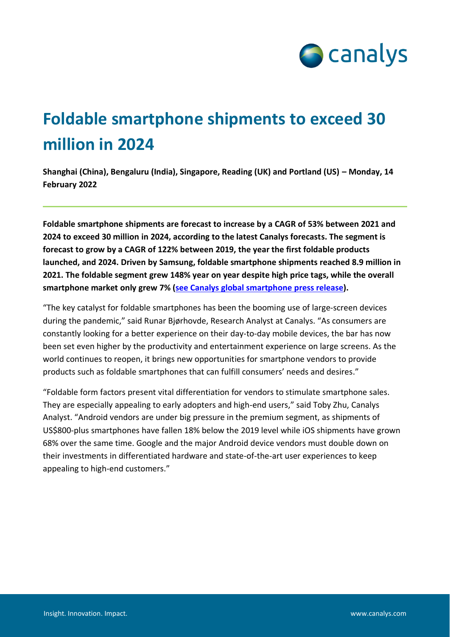

## **Foldable smartphone shipments to exceed 30 million in 2024**

**Shanghai (China), Bengaluru (India), Singapore, Reading (UK) and Portland (US) – Monday, 14 February 2022**

**Foldable smartphone shipments are forecast to increase by a CAGR of 53% between 2021 and 2024 to exceed 30 million in 2024, according to the latest Canalys forecasts. The segment is forecast to grow by a CAGR of 122% between 2019, the year the first foldable products launched, and 2024. Driven by Samsung, foldable smartphone shipments reached 8.9 million in 2021. The foldable segment grew 148% year on year despite high price tags, while the overall smartphone market only grew 7% [\(see Canalys global smartphone press release\)](https://www.canalys.com/newsroom/global-smartphone-market-2021).**

"The key catalyst for foldable smartphones has been the booming use of large-screen devices during the pandemic," said Runar Bjørhovde, Research Analyst at Canalys. "As consumers are constantly looking for a better experience on their day-to-day mobile devices, the bar has now been set even higher by the productivity and entertainment experience on large screens. As the world continues to reopen, it brings new opportunities for smartphone vendors to provide products such as foldable smartphones that can fulfill consumers' needs and desires."

"Foldable form factors present vital differentiation for vendors to stimulate smartphone sales. They are especially appealing to early adopters and high-end users," said Toby Zhu, Canalys Analyst. "Android vendors are under big pressure in the premium segment, as shipments of US\$800-plus smartphones have fallen 18% below the 2019 level while iOS shipments have grown 68% over the same time. Google and the major Android device vendors must double down on their investments in differentiated hardware and state-of-the-art user experiences to keep appealing to high-end customers."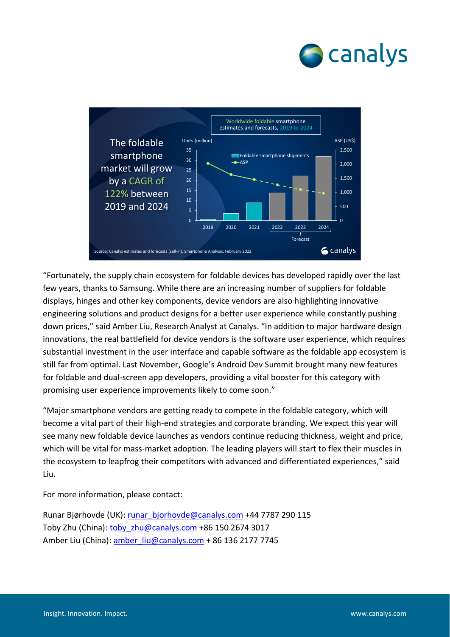



"Fortunately, the supply chain ecosystem for foldable devices has developed rapidly over the last few years, thanks to Samsung. While there are an increasing number of suppliers for foldable displays, hinges and other key components, device vendors are also highlighting innovative engineering solutions and product designs for a better user experience while constantly pushing down prices," said Amber Liu, Research Analyst at Canalys. "In addition to major hardware design innovations, the real battlefield for device vendors is the software user experience, which requires substantial investment in the user interface and capable software as the foldable app ecosystem is still far from optimal. Last November, Google's [Android Dev Summit](https://developer.android.com/events/dev-summit) brought many new features for foldable and dual-screen app developers, providing a vital booster for this category with promising user experience improvements likely to come soon."

"Major smartphone vendors are getting ready to compete in the foldable category, which will become a vital part of their high-end strategies and corporate branding. We expect this year will see many new foldable device launches as vendors continue reducing thickness, weight and price, which will be vital for mass-market adoption. The leading players will start to flex their muscles in the ecosystem to leapfrog their competitors with advanced and differentiated experiences," said Liu.

For more information, please contact:

Runar Bjørhovde (UK)[: runar\\_bjorhovde@canalys.com](mailto:runar_bjorhovde@canalys.com) +44 7787 290 115 Toby Zhu (China): toby zhu@canalys.com +86 150 2674 3017 Amber Liu (China): amber liu@canalys.com + 86 136 2177 7745